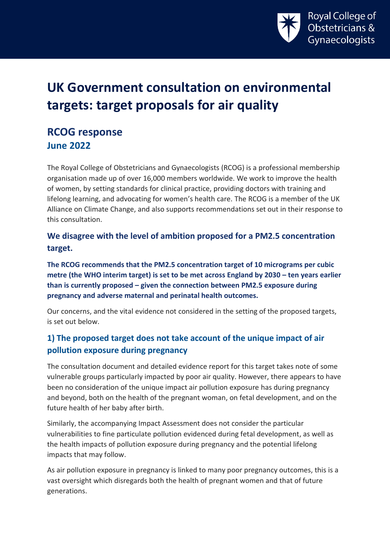

# **UK Government consultation on environmental targets: target proposals for air quality**

## **RCOG response June 2022**

The Royal College of Obstetricians and Gynaecologists (RCOG) is a professional membership organisation made up of over 16,000 members worldwide. We work to improve the health of women, by setting standards for clinical practice, providing doctors with training and lifelong learning, and advocating for women's health care. The RCOG is a member of the UK Alliance on Climate Change, and also supports recommendations set out in their response to this consultation.

**We disagree with the level of ambition proposed for a PM2.5 concentration target.** 

**The RCOG recommends that the PM2.5 concentration target of 10 micrograms per cubic metre (the WHO interim target) is set to be met across England by 2030 – ten years earlier than is currently proposed – given the connection between PM2.5 exposure during pregnancy and adverse maternal and perinatal health outcomes.** 

Our concerns, and the vital evidence not considered in the setting of the proposed targets, is set out below.

### **1) The proposed target does not take account of the unique impact of air pollution exposure during pregnancy**

The consultation document and detailed evidence report for this target takes note of some vulnerable groups particularly impacted by poor air quality. However, there appears to have been no consideration of the unique impact air pollution exposure has during pregnancy and beyond, both on the health of the pregnant woman, on fetal development, and on the future health of her baby after birth.

Similarly, the accompanying Impact Assessment does not consider the particular vulnerabilities to fine particulate pollution evidenced during fetal development, as well as the health impacts of pollution exposure during pregnancy and the potential lifelong impacts that may follow.

As air pollution exposure in pregnancy is linked to many poor pregnancy outcomes, this is a vast oversight which disregards both the health of pregnant women and that of future generations.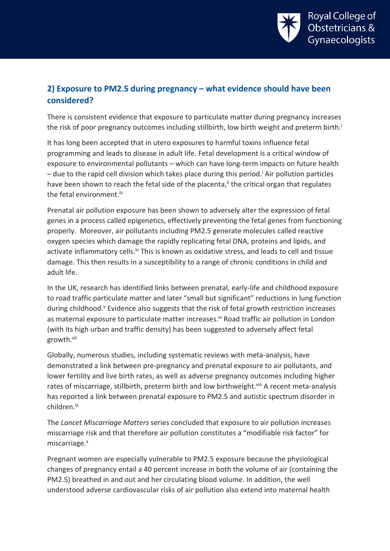<span id="page-1-0"></span>

#### **2) Exposure to PM2.5 during pregnancy – what evidence should have been considered?**

There is consistent evidence that exposure to particulate matter during pregnancy increases the risk of poor pregnancy outcomes including stillbirth, low birth weight and preterm birth[.](#page-1-0)<sup>i</sup>

It has long been accepted that in utero exposures to harmful toxins influence fetal programming and leads to disease in adult life. Fetal development is a critical window of exposure to environmental pollutants – which can have long-term impacts on future health  $-$  due to the rapid cell division which takes place during this period.<sup>i</sup> Air pollution particles have been shown to reach the fetal side of the placenta,<sup>ii</sup> the critical organ that regulates the fetal environment.<sup>iii</sup>

Prenatal air pollution exposure has been shown to adversely alter the expression of fetal genes in a process called epigenetics, effectively preventing the fetal genes from functioning properly. Moreover, air pollutants including PM2.5 generate molecules called reactive oxygen species which damage the rapidly replicating fetal DNA, proteins and lipids, and activate inflammatory cells.<sup>iv</sup> This is known as oxidative stress, and leads to cell and tissue damage. This then results in a susceptibility to a range of chronic conditions in child and adult life.

In the UK, research has identified links between prenatal, early-life and childhood exposure to road traffic particulate matter and later "small but significant" reductions in lung function during childhood.<sup>v</sup> Evidence also suggests that the risk of fetal growth restriction increases as maternal exposure to particulate matter increases.<sup>vi</sup> Road traffic air pollution in London (with its high urban and traffic density) has been suggested to adversely affect fetal growth.vii

Globally, numerous studies, including systematic reviews with meta-analysis, have demonstrated a link between pre-pregnancy and prenatal exposure to air pollutants, and lower fertility and live birth rates, as well as adverse pregnancy outcomes including higher rates of miscarriage, stillbirth, preterm birth and low birthweight.<sup>viii</sup> A recent meta-analysis has reported a link between prenatal exposure to PM2.5 and autistic spectrum disorder in children.ix

The *Lancet Miscarriage Matters* series concluded that exposure to air pollution increases miscarriage risk and that therefore air pollution constitutes a "modifiable risk factor" for miscarriage. x

Pregnant women are especially vulnerable to PM2.5 exposure because the physiological changes of pregnancy entail a 40 percent increase in both the volume of air (containing the PM2.5) breathed in and out and her circulating blood volume. In addition, the well understood adverse cardiovascular risks of air pollution also extend into maternal health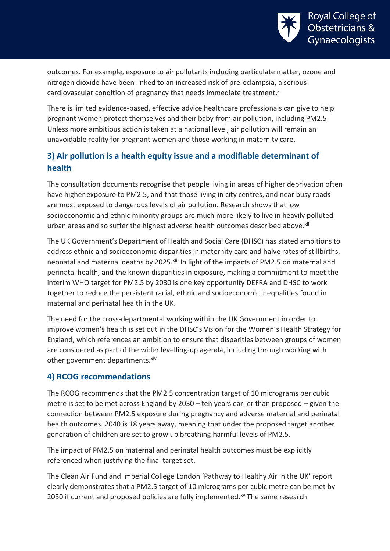

outcomes. For example, exposure to air pollutants including particulate matter, ozone and nitrogen dioxide have been linked to an increased risk of pre-eclampsia, a serious cardiovascular condition of pregnancy that needs immediate treatment.xi

There is limited evidence-based, effective advice healthcare professionals can give to help pregnant women protect themselves and their baby from air pollution, including PM2.5. Unless more ambitious action is taken at a national level, air pollution will remain an unavoidable reality for pregnant women and those working in maternity care.

### **3) Air pollution is a health equity issue and a modifiable determinant of health**

The consultation documents recognise that people living in areas of higher deprivation often have higher exposure to PM2.5, and that those living in city centres, and near busy roads are most exposed to dangerous levels of air pollution. Research shows that low socioeconomic and ethnic minority groups are much more likely to live in heavily polluted urban areas and so suffer the highest adverse health outcomes described above.<sup>xii</sup>

The UK Government's Department of Health and Social Care (DHSC) has stated ambitions to address ethnic and socioeconomic disparities in maternity care and halve rates of stillbirths, neonatal and maternal deaths by 2025.<sup>xiii</sup> In light of the impacts of PM2.5 on maternal and perinatal health, and the known disparities in exposure, making a commitment to meet the interim WHO target for PM2.5 by 2030 is one key opportunity DEFRA and DHSC to work together to reduce the persistent racial, ethnic and socioeconomic inequalities found in maternal and perinatal health in the UK.

The need for the cross-departmental working within the UK Government in order to improve women's health is set out in the DHSC's Vision for the Women's Health Strategy for England, which references an ambition to ensure that disparities between groups of women are considered as part of the wider levelling-up agenda, including through working with other government departments.<sup>xiv</sup>

#### **4) RCOG recommendations**

The RCOG recommends that the PM2.5 concentration target of 10 micrograms per cubic metre is set to be met across England by 2030 – ten years earlier than proposed – given the connection between PM2.5 exposure during pregnancy and adverse maternal and perinatal health outcomes. 2040 is 18 years away, meaning that under the proposed target another generation of children are set to grow up breathing harmful levels of PM2.5.

The impact of PM2.5 on maternal and perinatal health outcomes must be explicitly referenced when justifying the final target set.

The Clean Air Fund and Imperial College London 'Pathway to Healthy Air in the UK' report clearly demonstrates that a PM2.5 target of 10 micrograms per cubic metre can be met by 2030 if current and proposed policies are fully implemented.<sup>xv</sup> The same research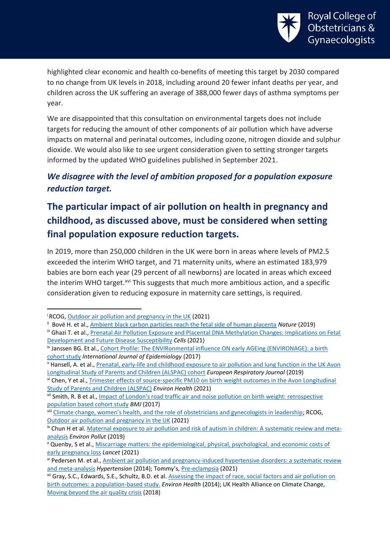

highlighted clear economic and health co-benefits of meeting this target by 2030 compared to no change from UK levels in 2018, including around 20 fewer infant deaths per year, and children across the UK suffering an average of 388,000 fewer days of asthma symptoms per year.

We are disappointed that this consultation on environmental targets does not include targets for reducing the amount of other components of air pollution which have adverse impacts on maternal and perinatal outcomes, including ozone, nitrogen dioxide and sulphur dioxide. We would also like to see urgent consideration given to setting stronger targets informed by the updated WHO guidelines published in September 2021.

#### *We disagree with the level of ambition proposed for a population exposure reduction target.*

## **The particular impact of air pollution on health in pregnancy and childhood, as discussed above, must be considered when setting final population exposure reduction targets.**

In 2019, more than 250,000 children in the UK were born in areas where levels of PM2.5 exceeded the interim WHO target, and 71 maternity units, where an estimated 183,979 babies are born each year (29 percent of all newborns) are located in areas which exceed the interim WHO target.<sup>xvi</sup> This suggests that much more ambitious action, and a specific consideration given to reducing exposure in maternity care settings, is required.

1

vi Chen, Y et al., [Trimester effects of source-specific PM10 on birth weight outcomes in the Avon Longitudinal](https://ehjournal.biomedcentral.com/articles/10.1186/s12940-020-00684-w)  [Study of Parents and Children \(ALSPAC\)](https://ehjournal.biomedcentral.com/articles/10.1186/s12940-020-00684-w) *Environ Health* (2021)

<sup>i</sup> RCOG[, Outdoor air pollution and pregnancy in the UK](https://www.rcog.org.uk/media/euxn0kya/outdoor-air-pollution-and-pregnancy-rcog-position-statement.pdf) (2021)

ii Bové H. et al., [Ambient black carbon particles reach the fetal side of human placenta](https://doi.org/10.1038/s41467-019-11654-3) *Nature* (2019)

iii Ghazi T. et al., Prenatal Air Pollution Exposure and Placental DNA Methylation Changes: Implications on Fetal [Development and Future Disease Susceptibility](https://doi.org/10.3390/cells10113025) *Cells* (2021)

iv Janssen BG. Et al.[, Cohort Profile: The ENVIRonmental influence ON early AGEing \(ENVIRONAGE\): a birth](https://doi.org/10.1093/ije/dyw269)  [cohort study](https://doi.org/10.1093/ije/dyw269) *International Journal of Epidemiology* (2017)

<sup>v</sup> Hansell, A. et al., [Prenatal, early-life and childhood exposure to air pollution and lung function in the UK Avon](https://erj.ersjournals.com/content/54/suppl_63/OA482)  [Longitudinal Study of Parents and Children \(ALSPAC\) cohort](https://erj.ersjournals.com/content/54/suppl_63/OA482) *European Respiratory Journal* (2019)

vii Smith, R. B et al., [Impact of London's road traffic air and noise pollution on birth weight: retrospective](https://www.bmj.com/content/359/bmj.j5299)  [population based cohort study](https://www.bmj.com/content/359/bmj.j5299) *BMJ* (2017)

viii [Climate change, women's health, and the role of obstetricians and gynecologists in leadership](https://doi.org/10.1002/ijgo.13958); RCOG, [Outdoor air pollution and pregnancy in the UK](https://www.rcog.org.uk/media/euxn0kya/outdoor-air-pollution-and-pregnancy-rcog-position-statement.pdf) (2021)

ix Chun H et al. [Maternal exposure to air pollution and risk of autism in children: A systematic review and meta](https://pubmed.ncbi.nlm.nih.gov/31733973/)[analysis](https://pubmed.ncbi.nlm.nih.gov/31733973/) *Environ Pollut* (2019)

<sup>x</sup> Quenby, S et al.[, Miscarriage matters: the epidemiological, physical, psychological, and economic costs of](https://doi.org/10.1016/S0140-6736(21)00682-6)  [early pregnancy loss](https://doi.org/10.1016/S0140-6736(21)00682-6) *Lancet* (2021)

xi Pedersen M. et al., [Ambient air pollution and pregnancy-induced hypertensive disorders: a systematic review](https://pubmed.ncbi.nlm.nih.gov/24935943/)  [and meta-analysis](https://pubmed.ncbi.nlm.nih.gov/24935943/) *Hypertension* (2014); Tommy's, [Pre-eclampsia](https://www.tommys.org/pregnancy-information/pregnancy-complications/pre-eclampsia-information-and-support) (2021)

xii Gray, S.C., Edwards, S.E., Schultz, B.D. et al. [Assessing the impact of race, social factors and air pollution on](https://ehjournal.biomedcentral.com/articles/10.1186/1476-069X-13-4#citeas)  [birth outcomes: a population-based study.](https://ehjournal.biomedcentral.com/articles/10.1186/1476-069X-13-4#citeas) *Environ Health* (2014); UK Health Alliance on Climate Change, [Moving beyond the air quality crisis](http://www.ukhealthalliance.org/wp-content/uploads/2018/10/Moving-beyond-the-Air-Quality-Crisis-4WEB-29_10-2018-final-1.pdf) (2018)